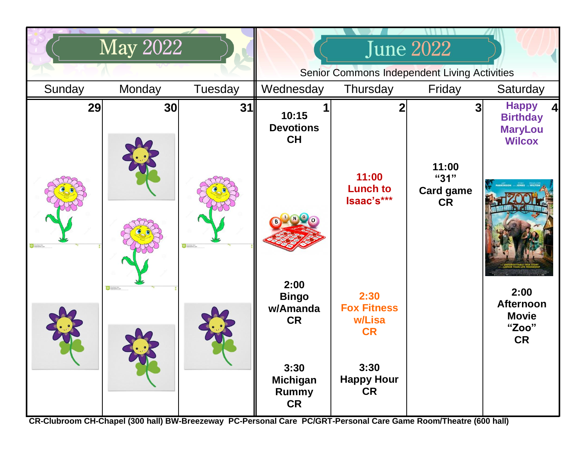|                  | <b>May 2022</b> |                 | <b>June 2022</b>                                    |                                                   |                                                |                                                                    |
|------------------|-----------------|-----------------|-----------------------------------------------------|---------------------------------------------------|------------------------------------------------|--------------------------------------------------------------------|
|                  |                 |                 | <b>Senior Commons Independent Living Activities</b> |                                                   |                                                |                                                                    |
| Sunday           | Monday          | Tuesday         | Wednesday                                           | Thursday                                          | Friday                                         | Saturday                                                           |
| 29               | 30              | 31              | 10:15<br><b>Devotions</b><br><b>CH</b>              | 2                                                 | 3                                              | <b>Happy</b><br><b>Birthday</b><br><b>MaryLou</b><br><b>Wilcox</b> |
| Convertised from |                 | C Diversion to: |                                                     | 11:00<br><b>Lunch to</b><br>Isaac's***            | 11:00<br>"31"<br><b>Card game</b><br><b>CR</b> |                                                                    |
|                  | C Drectiat form |                 | 2:00<br><b>Bingo</b><br>w/Amanda<br><b>CR</b>       | 2:30<br><b>Fox Fitness</b><br>w/Lisa<br><b>CR</b> |                                                | 2:00<br><b>Afternoon</b><br><b>Movie</b><br>"Zoo"<br><b>CR</b>     |
|                  |                 |                 | 3:30<br><b>Michigan</b><br>Rummy<br><b>CR</b>       | 3:30<br><b>Happy Hour</b><br><b>CR</b>            |                                                |                                                                    |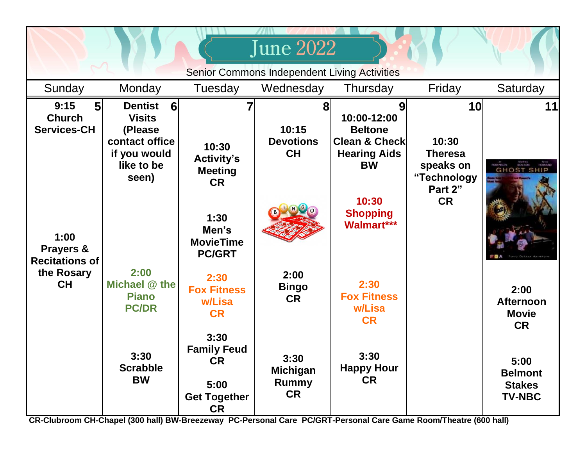| <b>June 2022</b>                                              |                                                                                                                          |                                                                                     |                                               |                                                                                               |                                                           |                                                          |  |  |  |
|---------------------------------------------------------------|--------------------------------------------------------------------------------------------------------------------------|-------------------------------------------------------------------------------------|-----------------------------------------------|-----------------------------------------------------------------------------------------------|-----------------------------------------------------------|----------------------------------------------------------|--|--|--|
| Senior Commons Independent Living Activities                  |                                                                                                                          |                                                                                     |                                               |                                                                                               |                                                           |                                                          |  |  |  |
| Sunday                                                        | Monday                                                                                                                   | Tuesday                                                                             | Wednesday                                     | Thursday                                                                                      | Friday                                                    | Saturday                                                 |  |  |  |
| 9:15<br>5 <sub>l</sub><br><b>Church</b><br><b>Services-CH</b> | <b>Dentist</b><br>$6 \overline{6}$<br><b>Visits</b><br>(Please)<br>contact office<br>if you would<br>like to be<br>seen) | 10:30<br><b>Activity's</b><br><b>Meeting</b><br><b>CR</b>                           | 8<br>10:15<br><b>Devotions</b><br><b>CH</b>   | 10:00-12:00<br><b>Beltone</b><br><b>Clean &amp; Check</b><br><b>Hearing Aids</b><br><b>BW</b> | 10<br>10:30<br><b>Theresa</b><br>speaks on<br>"Technology | 11<br><b>GHOST SHIP</b>                                  |  |  |  |
| 1:00<br>Prayers &<br><b>Recitations of</b>                    |                                                                                                                          | 1:30<br>Men's<br><b>MovieTime</b><br><b>PC/GRT</b>                                  |                                               | 10:30<br><b>Shopping</b><br>Walmart***                                                        | Part 2"<br><b>CR</b>                                      |                                                          |  |  |  |
| the Rosary<br><b>CH</b>                                       | 2:00<br>Michael @ the<br><b>Piano</b><br><b>PC/DR</b>                                                                    | 2:30<br><b>Fox Fitness</b><br>w/Lisa<br><b>CR</b>                                   | 2:00<br><b>Bingo</b><br><b>CR</b>             | 2:30<br><b>Fox Fitness</b><br>w/Lisa<br><b>CR</b>                                             |                                                           | 2:00<br><b>Afternoon</b><br><b>Movie</b><br><b>CR</b>    |  |  |  |
|                                                               | 3:30<br><b>Scrabble</b><br><b>BW</b>                                                                                     | 3:30<br><b>Family Feud</b><br><b>CR</b><br>5:00<br><b>Get Together</b><br><b>CR</b> | 3:30<br><b>Michigan</b><br>Rummy<br><b>CR</b> | 3:30<br><b>Happy Hour</b><br><b>CR</b>                                                        |                                                           | 5:00<br><b>Belmont</b><br><b>Stakes</b><br><b>TV-NBC</b> |  |  |  |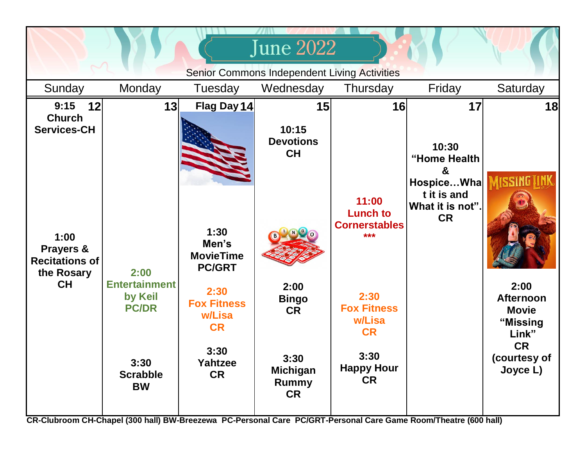|                                                                       |                                                 |                                                    | <b>June 2022</b>                                     |                                                         |                                                            |                                                               |
|-----------------------------------------------------------------------|-------------------------------------------------|----------------------------------------------------|------------------------------------------------------|---------------------------------------------------------|------------------------------------------------------------|---------------------------------------------------------------|
|                                                                       |                                                 |                                                    | Senior Commons Independent Living Activities         |                                                         |                                                            |                                                               |
| Sunday                                                                | Monday                                          | Tuesday                                            | Wednesday                                            | Thursday                                                | Friday                                                     | Saturday                                                      |
| 9:15<br>12<br><b>Church</b><br><b>Services-CH</b>                     | 13                                              | Flag Day 14                                        | 15<br>10:15<br><b>Devotions</b><br><b>CH</b>         | 16                                                      | 17<br>10:30<br>"Home Health<br>&                           | 18                                                            |
| 1:00<br>Prayers &<br><b>Recitations of</b><br>the Rosary<br><b>CH</b> | 2:00                                            | 1:30<br>Men's<br><b>MovieTime</b><br><b>PC/GRT</b> |                                                      | 11:00<br><b>Lunch to</b><br><b>Cornerstables</b><br>*** | HospiceWha<br>t it is and<br>What it is not".<br><b>CR</b> |                                                               |
|                                                                       | <b>Entertainment</b><br>by Keil<br><b>PC/DR</b> | 2:30<br><b>Fox Fitness</b><br>w/Lisa<br><b>CR</b>  | 2:00<br><b>Bingo</b><br><b>CR</b>                    | 2:30<br><b>Fox Fitness</b><br>w/Lisa<br><b>CR</b>       |                                                            | 2:00<br><b>Afternoon</b><br><b>Movie</b><br>"Missing<br>Link" |
|                                                                       | 3:30<br><b>Scrabble</b><br><b>BW</b>            | 3:30<br>Yahtzee<br><b>CR</b>                       | 3:30<br><b>Michigan</b><br><b>Rummy</b><br><b>CR</b> | 3:30<br><b>Happy Hour</b><br><b>CR</b>                  |                                                            | <b>CR</b><br>(courtesy of<br>Joyce L)                         |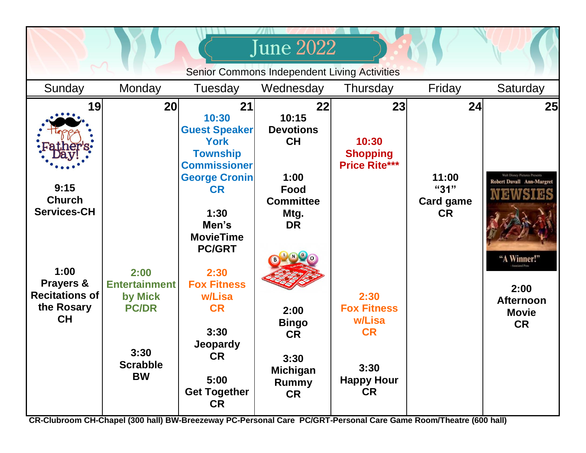| <b>June 2022</b>                                                                                      |                                                                                                                                                                                                                                                                                                              |                                                                                                                                                                                                    |                                                                                                                                                       |                                                      |                                                                                                                                                 |  |  |  |
|-------------------------------------------------------------------------------------------------------|--------------------------------------------------------------------------------------------------------------------------------------------------------------------------------------------------------------------------------------------------------------------------------------------------------------|----------------------------------------------------------------------------------------------------------------------------------------------------------------------------------------------------|-------------------------------------------------------------------------------------------------------------------------------------------------------|------------------------------------------------------|-------------------------------------------------------------------------------------------------------------------------------------------------|--|--|--|
| <b>Senior Commons Independent Living Activities</b>                                                   |                                                                                                                                                                                                                                                                                                              |                                                                                                                                                                                                    |                                                                                                                                                       |                                                      |                                                                                                                                                 |  |  |  |
| Monday                                                                                                | Tuesday                                                                                                                                                                                                                                                                                                      | Wednesday                                                                                                                                                                                          | Thursday                                                                                                                                              | Friday                                               | Saturday                                                                                                                                        |  |  |  |
| 20<br>2:00<br><b>Entertainment</b><br>by Mick<br><b>PC/DR</b><br>3:30<br><b>Scrabble</b><br><b>BW</b> | 21<br>10:30<br><b>Guest Speaker</b><br><b>York</b><br><b>Township</b><br><b>Commissioner</b><br><b>George Cronin</b><br><b>CR</b><br>1:30<br>Men's<br><b>MovieTime</b><br><b>PC/GRT</b><br>2:30<br><b>Fox Fitness</b><br>w/Lisa<br><b>CR</b><br>3:30<br>Jeopardy<br><b>CR</b><br>5:00<br><b>Get Together</b> | 22<br>10:15<br><b>Devotions</b><br><b>CH</b><br>1:00<br>Food<br><b>Committee</b><br>Mtg.<br><b>DR</b><br>2:00<br><b>Bingo</b><br><b>CR</b><br>3:30<br><b>Michigan</b><br><b>Rummy</b><br><b>CR</b> | 23<br>10:30<br><b>Shopping</b><br><b>Price Rite***</b><br>2:30<br><b>Fox Fitness</b><br>w/Lisa<br><b>CR</b><br>3:30<br><b>Happy Hour</b><br><b>CR</b> | 24<br>11:00<br>"31"<br><b>Card game</b><br><b>CR</b> | 25<br>Walt Disney Pictures Presents<br><b>Robert Duvall Ann-Margret</b><br>"A Winner!"<br>2:00<br><b>Afternoon</b><br><b>Movie</b><br><b>CR</b> |  |  |  |
|                                                                                                       |                                                                                                                                                                                                                                                                                                              | <b>CR</b>                                                                                                                                                                                          |                                                                                                                                                       |                                                      |                                                                                                                                                 |  |  |  |